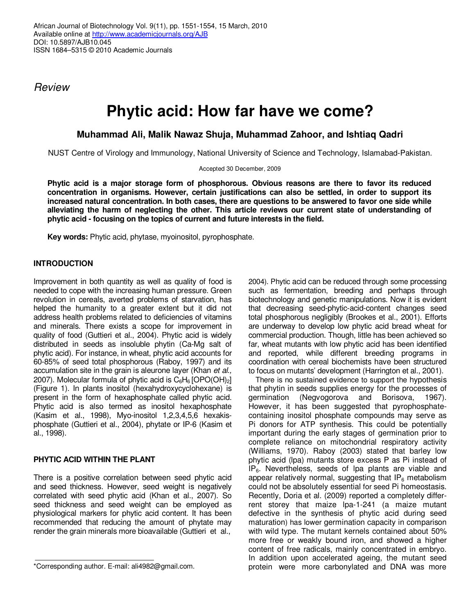Review

# **Phytic acid: How far have we come?**

## **Muhammad Ali, Malik Nawaz Shuja, Muhammad Zahoor, and Ishtiaq Qadri**

NUST Centre of Virology and Immunology, National University of Science and Technology, Islamabad-Pakistan.

Accepted 30 December, 2009

**Phytic acid is a major storage form of phosphorous. Obvious reasons are there to favor its reduced concentration in organisms. However, certain justifications can also be settled, in order to support its increased natural concentration. In both cases, there are questions to be answered to favor one side while alleviating the harm of neglecting the other. This article reviews our current state of understanding of phytic acid - focusing on the topics of current and future interests in the field.** 

**Key words:** Phytic acid, phytase, myoinositol, pyrophosphate.

### **INTRODUCTION**

Improvement in both quantity as well as quality of food is needed to cope with the increasing human pressure. Green revolution in cereals, averted problems of starvation, has helped the humanity to a greater extent but it did not address health problems related to deficiencies of vitamins and minerals. There exists a scope for improvement in quality of food (Guttieri et al., 2004). Phytic acid is widely distributed in seeds as insoluble phytin (Ca-Mg salt of phytic acid). For instance, in wheat, phytic acid accounts for 60-85% of seed total phosphorous (Raboy, 1997) and its accumulation site in the grain is aleurone layer (Khan et al., 2007). Molecular formula of phytic acid is  $C_6H_6$  [OPO(OH)<sub>2</sub>] (Figure 1). In plants inositol (hexahydroxycyclohexane) is present in the form of hexaphosphate called phytic acid. Phytic acid is also termed as inositol hexaphosphate (Kasim et al., 1998), Myo-inositol 1,2,3,4,5,6 hexakisphosphate (Guttieri et al., 2004), phytate or IP-6 (Kasim et al., 1998).

#### **PHYTIC ACID WITHIN THE PLANT**

There is a positive correlation between seed phytic acid and seed thickness. However, seed weight is negatively correlated with seed phytic acid (Khan et al., 2007). So seed thickness and seed weight can be employed as physiological markers for phytic acid content. It has been recommended that reducing the amount of phytate may render the grain minerals more bioavailable (Guttieri et al.,

2004). Phytic acid can be reduced through some processing such as fermentation, breeding and perhaps through biotechnology and genetic manipulations. Now it is evident that decreasing seed-phytic-acid-content changes seed total phosphorous negligibly (Brookes et al., 2001). Efforts are underway to develop low phytic acid bread wheat for commercial production. Though, little has been achieved so far, wheat mutants with low phytic acid has been identified and reported, while different breeding programs in coordination with cereal biochemists have been structured to focus on mutants' development (Harrington et al., 2001).

There is no sustained evidence to support the hypothesis that phytin in seeds supplies energy for the processes of germination (Negvogorova and Borisova, 1967). However, it has been suggested that pyrophosphatecontaining inositol phosphate compounds may serve as Pi donors for ATP synthesis. This could be potentially important during the early stages of germination prior to complete reliance on mitochondrial respiratory activity (Williams, 1970). Raboy (2003) stated that barley low phytic acid (lpa) mutants store excess P as Pi instead of  $IP<sub>6</sub>$ . Nevertheless, seeds of lpa plants are viable and appear relatively normal, suggesting that  $IP_6$  metabolism could not be absolutely essential for seed Pi homeostasis. Recently, Doria et al. (2009) reported a completely differrent storey that maize lpa-1-241 (a maize mutant defective in the synthesis of phytic acid during seed maturation) has lower germination capacity in comparison with wild type. The mutant kernels contained about 50% more free or weakly bound iron, and showed a higher content of free radicals, mainly concentrated in embryo. In addition upon accelerated ageing, the mutant seed protein were more carbonylated and DNA was more

<sup>\*</sup>Corresponding author. E-mail: ali4982@gmail.com.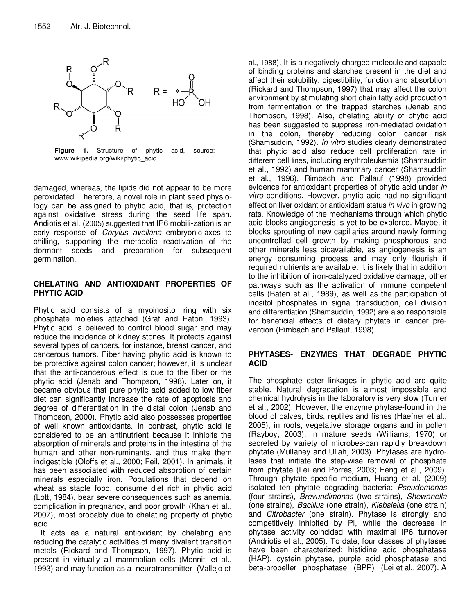

**Figure 1.** Structure of phytic acid, source: www.wikipedia.org/wiki/phytic\_acid.

damaged, whereas, the lipids did not appear to be more peroxidated. Therefore, a novel role in plant seed physiology can be assigned to phytic acid, that is, protection against oxidative stress during the seed life span. Andiotis et al. (2005) suggested that IP6 mobili-zation is an early response of Corylus avellana embryonic-axes to chilling, supporting the metabolic reactivation of the dormant seeds and preparation for subsequent germination.

#### **CHELATING AND ANTIOXIDANT PROPERTIES OF PHYTIC ACID**

Phytic acid consists of a myoinositol ring with six phosphate moieties attached (Graf and Eaton, 1993). Phytic acid is believed to control blood sugar and may reduce the incidence of kidney stones. It protects against several types of cancers, for instance, breast cancer, and cancerous tumors. Fiber having phytic acid is known to be protective against colon cancer; however, it is unclear that the anti-cancerous effect is due to the fiber or the phytic acid (Jenab and Thompson, 1998). Later on, it became obvious that pure phytic acid added to low fiber diet can significantly increase the rate of apoptosis and degree of differentiation in the distal colon (Jenab and Thompson, 2000). Phytic acid also possesses properties of well known antioxidants. In contrast, phytic acid is considered to be an antinutrient because it inhibits the absorption of minerals and proteins in the intestine of the human and other non-ruminants, and thus make them indigestible (Oloffs et al., 2000; Feil, 2001). In animals, it has been associated with reduced absorption of certain minerals especially iron. Populations that depend on wheat as staple food, consume diet rich in phytic acid (Lott, 1984), bear severe consequences such as anemia, complication in pregnancy, and poor growth (Khan et al., 2007), most probably due to chelating property of phytic acid.

It acts as a natural antioxidant by chelating and reducing the catalytic activities of many divalent transition metals (Rickard and Thompson, 1997). Phytic acid is present in virtually all mammalian cells (Menniti et al., 1993) and may function as a neurotransmitter (Vallejo et

al., 1988). It is a negatively charged molecule and capable of binding proteins and starches present in the diet and affect their solubility, digestibility, function and absorbtion (Rickard and Thompson, 1997) that may affect the colon environment by stimulating short chain fatty acid production from fermentation of the trapped starches (Jenab and Thompson, 1998). Also, chelating ability of phytic acid has been suggested to suppress iron-mediated oxidation in the colon, thereby reducing colon cancer risk (Shamsuddin, 1992). In vitro studies clearly demonstrated that phytic acid also reduce cell proliferation rate in different cell lines, including erythroleukemia (Shamsuddin et al., 1992) and human mammary cancer (Shamsuddin et al., 1996). Rimbach and Pallauf (1998) provided evidence for antioxidant properties of phytic acid under in vitro conditions. However, phytic acid had no significant effect on liver oxidant or antioxidant status in vivo in growing rats. Knowledge of the mechanisms through which phytic acid blocks angiogenesis is yet to be explored. Maybe, it blocks sprouting of new capillaries around newly forming uncontrolled cell growth by making phosphorous and other minerals less bioavailable, as angiogenesis is an energy consuming process and may only flourish if required nutrients are available. It is likely that in addition to the inhibition of iron-catalyzed oxidative damage, other pathways such as the activation of immune competent cells (Baten et al., 1989), as well as the participation of inositol phosphates in signal transduction, cell division and differentiation (Shamsuddin, 1992) are also responsible for beneficial effects of dietary phytate in cancer prevention (Rimbach and Pallauf, 1998).

#### **PHYTASES- ENZYMES THAT DEGRADE PHYTIC ACID**

The phosphate ester linkages in phytic acid are quite stable. Natural degradation is almost impossible and chemical hydrolysis in the laboratory is very slow (Turner et al., 2002). However, the enzyme phytase-found in the blood of calves, birds, reptiles and fishes (Haefner et al., 2005), in roots, vegetative storage organs and in pollen (Rayboy, 2003), in mature seeds (Williams, 1970) or secreted by variety of microbes-can rapidly breakdown phytate (Mullaney and Ullah, 2003). Phytases are hydrolases that initiate the step-wise removal of phosphate from phytate (Lei and Porres, 2003; Feng et al., 2009). Through phytate specific medium, Huang et al. (2009) isolated ten phytate degrading bacteria: Pseudomonas (four strains), Brevundimonas (two strains), Shewanella (one strains), Bacillus (one strain), Klebsiella (one strain) and Citrobacter (one strain). Phytase is strongly and competitively inhibited by Pi, while the decrease in phytase activity coincided with maximal IP6 turnover (Andriotis et al., 2005). To date, four classes of phytases have been characterized: histidine acid phosphatase (HAP), cystein phytase, purple acid phosphatase and beta-propeller phosphatase (BPP) (Lei et al., 2007). A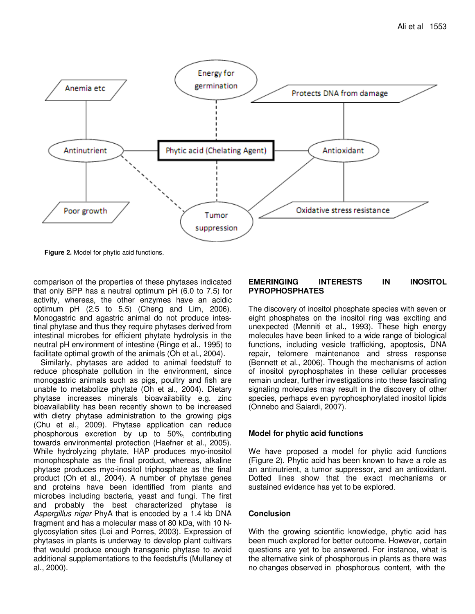

**Figure 2.** Model for phytic acid functions.

comparison of the properties of these phytases indicated that only BPP has a neutral optimum pH (6.0 to 7.5) for activity, whereas, the other enzymes have an acidic optimum pH (2.5 to 5.5) (Cheng and Lim, 2006). Monogastric and agastric animal do not produce intestinal phytase and thus they require phytases derived from intestinal microbes for efficient phytate hydrolysis in the neutral pH environment of intestine (Ringe et al., 1995) to facilitate optimal growth of the animals (Oh et al., 2004).

Similarly, phytases are added to animal feedstuff to reduce phosphate pollution in the environment, since monogastric animals such as pigs, poultry and fish are unable to metabolize phytate (Oh et al., 2004). Dietary phytase increases minerals bioavailability e.g. zinc bioavailability has been recently shown to be increased with dietry phytase administration to the growing pigs (Chu et al., 2009). Phytase application can reduce phosphorous excretion by up to 50%, contributing towards environmental protection (Haefner et al., 2005). While hydrolyzing phytate, HAP produces myo-inositol monophosphate as the final product, whereas, alkaline phytase produces myo-inositol triphosphate as the final product (Oh et al., 2004). A number of phytase genes and proteins have been identified from plants and microbes including bacteria, yeast and fungi. The first and probably the best characterized phytase is Aspergillus niger PhyA that is encoded by a 1.4 kb DNA fragment and has a molecular mass of 80 kDa, with 10 Nglycosylation sites (Lei and Porres, 2003). Expression of phytases in plants is underway to develop plant cultivars that would produce enough transgenic phytase to avoid additional supplementations to the feedstuffs (Mullaney et al., 2000).

#### **EMERINGING INTERESTS IN INOSITOL PYROPHOSPHATES**

The discovery of inositol phosphate species with seven or eight phosphates on the inositol ring was exciting and unexpected (Menniti et al., 1993). These high energy molecules have been linked to a wide range of biological functions, including vesicle trafficking, apoptosis, DNA repair, telomere maintenance and stress response (Bennett et al., 2006). Though the mechanisms of action of inositol pyrophosphates in these cellular processes remain unclear, further investigations into these fascinating signaling molecules may result in the discovery of other species, perhaps even pyrophosphorylated inositol lipids (Onnebo and Saiardi, 2007).

#### **Model for phytic acid functions**

We have proposed a model for phytic acid functions (Figure 2). Phytic acid has been known to have a role as an antinutrient, a tumor suppressor, and an antioxidant. Dotted lines show that the exact mechanisms or sustained evidence has yet to be explored.

#### **Conclusion**

With the growing scientific knowledge, phytic acid has been much explored for better outcome. However, certain questions are yet to be answered. For instance, what is the alternative sink of phosphorous in plants as there was no changes observed in phosphorous content, with the